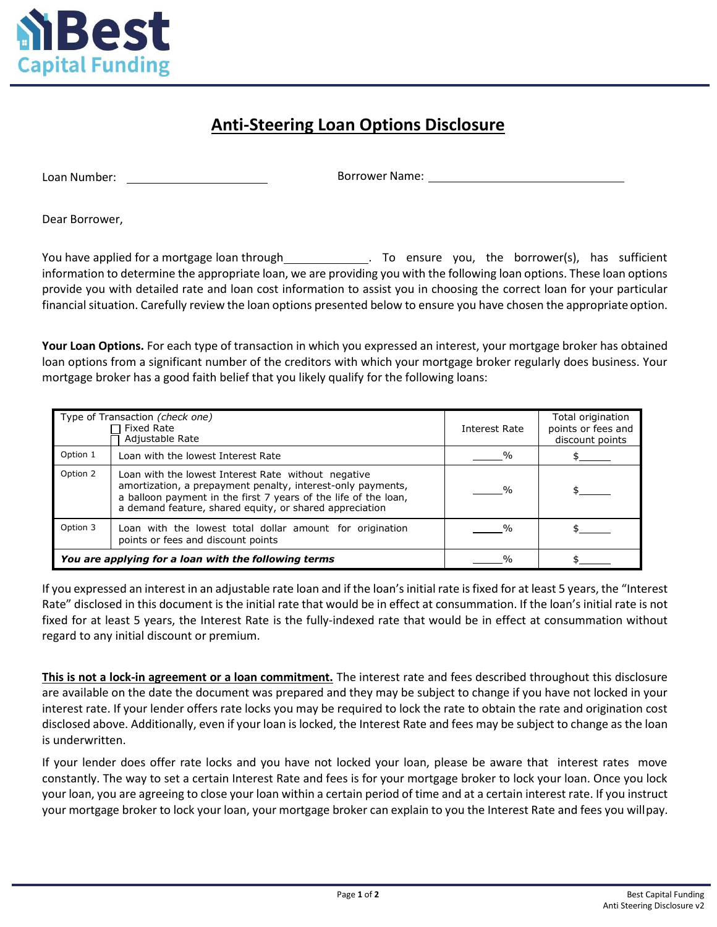

## **Anti-Steering Loan Options Disclosure**

Loan Number:

Borrower Name:

Dear Borrower,

You have applied for a mortgage loan through . To ensure you, the borrower(s), has sufficient information to determine the appropriate loan, we are providing you with the following loan options. These loan options provide you with detailed rate and loan cost information to assist you in choosing the correct loan for your particular financial situation. Carefully review the loan options presented below to ensure you have chosen the appropriate option.

**Your Loan Options.** For each type of transaction in which you expressed an interest, your mortgage broker has obtained loan options from a significant number of the creditors with which your mortgage broker regularly does business. Your mortgage broker has a good faith belief that you likely qualify for the following loans:

|                                                      | Type of Transaction (check one)<br>Fixed Rate<br>Adjustable Rate                                                                                                                                                                                 | Interest Rate | Total origination<br>points or fees and<br>discount points |
|------------------------------------------------------|--------------------------------------------------------------------------------------------------------------------------------------------------------------------------------------------------------------------------------------------------|---------------|------------------------------------------------------------|
| Option 1                                             | Loan with the lowest Interest Rate                                                                                                                                                                                                               | $\frac{0}{0}$ |                                                            |
| Option 2                                             | Loan with the lowest Interest Rate without negative<br>amortization, a prepayment penalty, interest-only payments,<br>a balloon payment in the first 7 years of the life of the loan,<br>a demand feature, shared equity, or shared appreciation |               |                                                            |
| Option 3                                             | Loan with the lowest total dollar amount for origination<br>points or fees and discount points                                                                                                                                                   |               |                                                            |
| You are applying for a loan with the following terms |                                                                                                                                                                                                                                                  | $\frac{1}{2}$ |                                                            |

If you expressed an interest in an adjustable rate loan and if the loan's initial rate is fixed for at least 5 years, the "Interest Rate" disclosed in this document is the initial rate that would be in effect at consummation. If the loan's initial rate is not fixed for at least 5 years, the Interest Rate is the fully-indexed rate that would be in effect at consummation without regard to any initial discount or premium.

**This is not a lock-in agreement or a loan commitment.** The interest rate and fees described throughout this disclosure are available on the date the document was prepared and they may be subject to change if you have not locked in your interest rate. If your lender offers rate locks you may be required to lock the rate to obtain the rate and origination cost disclosed above. Additionally, even if your loan is locked, the Interest Rate and fees may be subject to change as the loan is underwritten.

If your lender does offer rate locks and you have not locked your loan, please be aware that interest rates move constantly. The way to set a certain Interest Rate and fees is for your mortgage broker to lock your loan. Once you lock your loan, you are agreeing to close your loan within a certain period of time and at a certain interest rate. If you instruct your mortgage broker to lock your loan, your mortgage broker can explain to you the Interest Rate and fees you willpay.